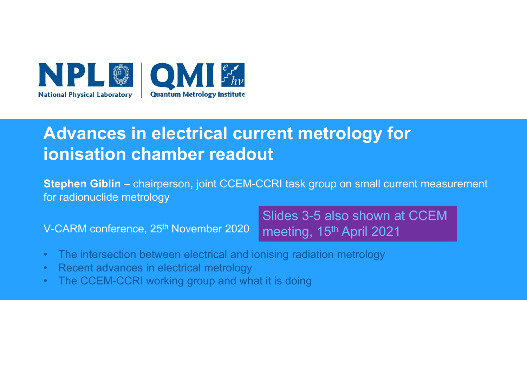

### **Advances in electrical current metrology for ionisation chamber readout**

**Stephen Giblin** – chairperson, joint CCEM-CCRI task group on small current measurement for radionuclide metrology

V-CARM conference, 25<sup>th</sup> November 2020

Slides 3-5 also shown at CCEM meeting, 15<sup>th</sup> April 2021

- •The intersection between electrical and ionising radiation metrology
- •Recent advances in electrical metrology
- •The CCEM-CCRI working group and what it is doing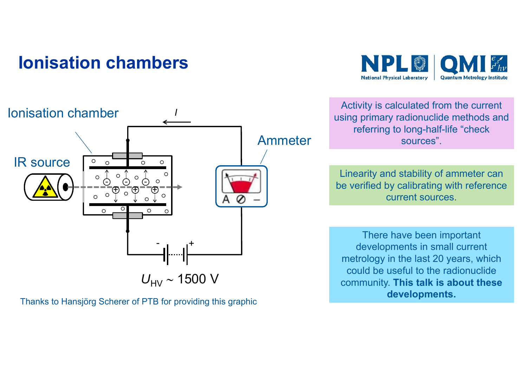#### **Ionisation chambers**





Thanks to Hansjörg Scherer of PTB for providing this graphic

Activity is calculated from the current using primary radionuclide methods and referring to long-half-life "check sources".

Linearity and stability of ammeter can be verified by calibrating with reference current sources.

There have been important developments in small current metrology in the last 20 years, which could be useful to the radionuclide community. **This talk is about these developments.**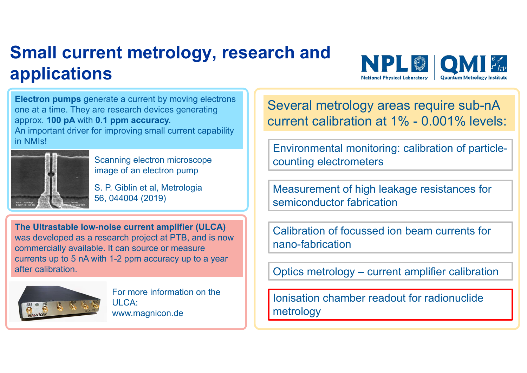## **Small current metrology, research and applications**



**Electron pumps** generate a current by moving electrons one at a time. They are research devices generating approx. **100 pA** with **0.1 ppm accuracy.**

An important driver for improving small current capability in NMIs!



Scanning electron microscope image of an electron pump

S. P. Giblin et al, Metrologia 56, 044004 (2019)

**The Ultrastable low-noise current amplifier (ULCA)**  was developed as a research project at PTB, and is now commercially available. It can source or measure currents up to 5 nA with 1-2 ppm accuracy up to a year after calibration.



For more information on the ULCA:www.magnicon.de

Several metrology areas require sub-nA current calibration at 1% - 0.001% levels:

Environmental monitoring: calibration of particlecounting electrometers

Measurement of high leakage resistances for semiconductor fabrication

Calibration of focussed ion beam currents for nano-fabrication

Optics metrology – current amplifier calibration

Ionisation chamber readout for radionuclide metrology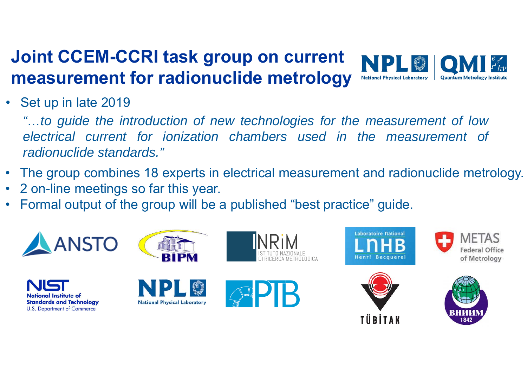#### **Joint CCEM-CCRI task group on current measurement for radionuclide metrology National Physical Laboratory Quantum Metrology Institut**

#### • Set up in late 2019

"...to guide the introduction of new technologies for the measurement of low *electrical current for ionization chambers used in the measurement of radionuclide standards."*

- The group combines 18 experts in electrical measurement and radionuclide metrology.
- •2 on-line meetings so far this year.
- •Formal output of the group will be a published "best practice" guide.

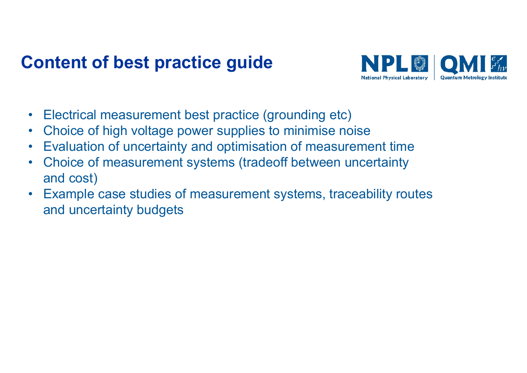#### **Content of best practice guide**



- Electrical measurement best practice (grounding etc)
- $\bullet$ Choice of high voltage power supplies to minimise noise
- •Evaluation of uncertainty and optimisation of measurement time
- $\bullet$  Choice of measurement systems (tradeoff between uncertainty and cost)
- Example case studies of measurement systems, traceability routes and uncertainty budgets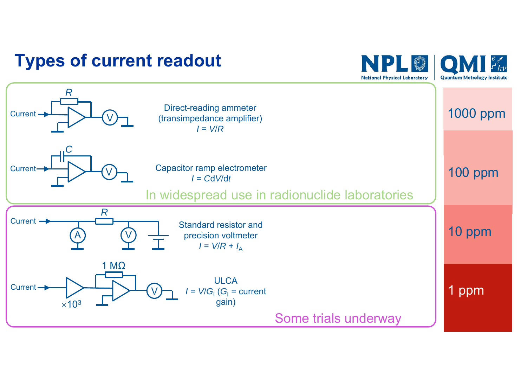#### **Types of current readout**



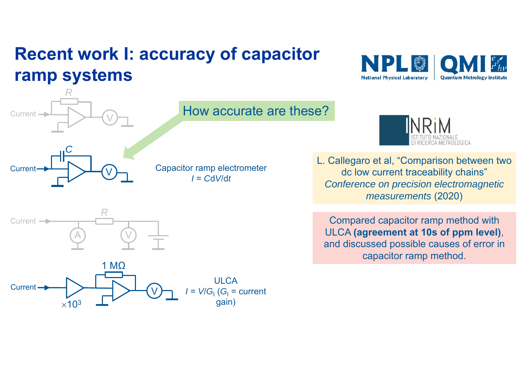## **Recent work I: accuracy of capacitor ramp systems**





*R*

#### How accurate are these?

Capacitor ramp electrometer *I* = *C*d*V*/d*t*



L. Callegaro et al, "Comparison between two dc low current traceability chains" *Conference on precision electromagnetic measurements* (2020)

Compared capacitor ramp method with ULCA **(agreement at 10s of ppm level)**, and discussed possible causes of error in capacitor ramp method.



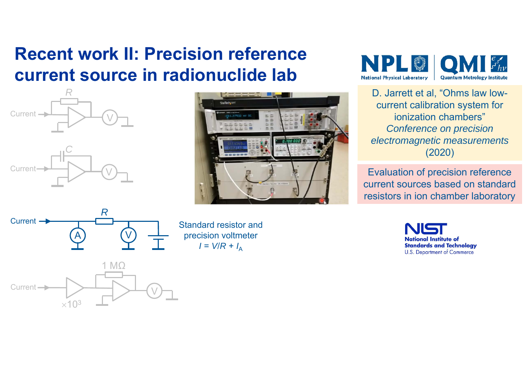### **Recent work II: Precision reference current source in radionuclide lab**



A

**Current** 



Standard resistor and precision voltmeter *I* = *V*/*R* <sup>+</sup>*I*<sup>A</sup>



D. Jarrett et al, "Ohms law lowcurrent calibration system for ionization chambers"*Conference on precision electromagnetic measurements* (2020)

Evaluation of precision reference current sources based on standard resistors in ion chamber laboratory

> **National Institute of Standards and Technology U.S. Department of Commerce**



*R*

V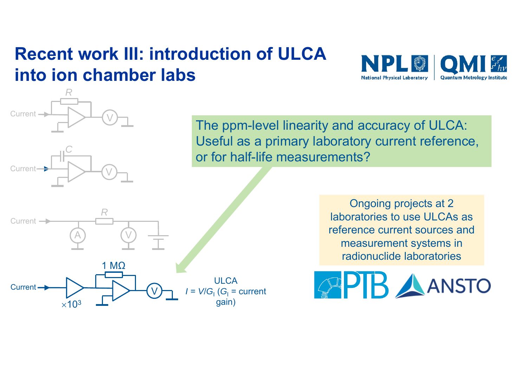## **Recent work III: introduction of ULCA into ion chamber labs**

 $\bigvee$ 

*R*

*C*

 $\bigvee$ 

Current

**Curren** 



The ppm-level linearity and accuracy of ULCA: Useful as a primary laboratory current reference, or for half-life measurements?



Ongoing projects at 2 laboratories to use ULCAs as reference current sources and measurement systems in radionuclide laboratories

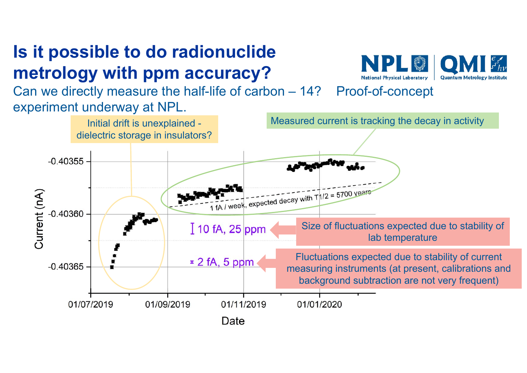# **Is it possible to do radionuclide metrology with ppm accuracy?**

Can we directly measure the half-life of carbon – 14? Proof-of-concept experiment underway at NPL.